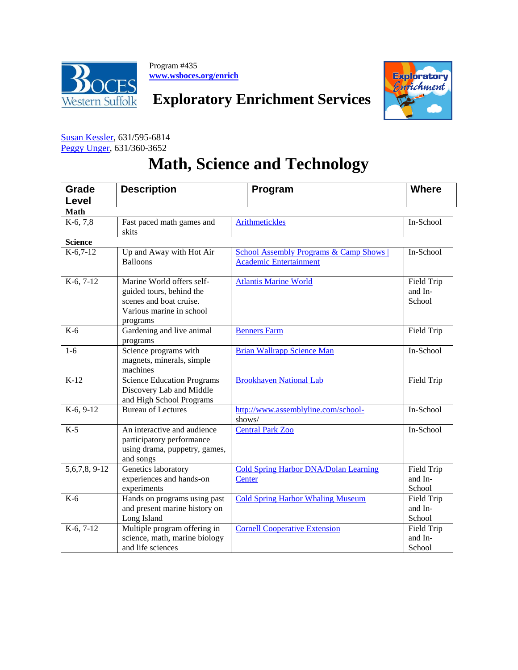

Program #435 **[www.wsboces.org/enrich](http://www.wsboces.org/enrich)**





## [Susan Kessler,](mailto:skessler@wsboces.org) 631/595-6814 [Peggy Unger,](mailto:punger@wsboces.org) 631/360-3652

## **Math, Science and Technology**

| <b>Grade</b>   | <b>Description</b>                                                                                                       | Program                                                                           | <b>Where</b>                    |  |  |
|----------------|--------------------------------------------------------------------------------------------------------------------------|-----------------------------------------------------------------------------------|---------------------------------|--|--|
| <b>Level</b>   |                                                                                                                          |                                                                                   |                                 |  |  |
| Math           |                                                                                                                          |                                                                                   |                                 |  |  |
| $K-6, 7, 8$    | Fast paced math games and<br>skits                                                                                       | <b>Arithmetickles</b>                                                             | In-School                       |  |  |
| <b>Science</b> |                                                                                                                          |                                                                                   |                                 |  |  |
| $K-6,7-12$     | Up and Away with Hot Air<br><b>Balloons</b>                                                                              | <b>School Assembly Programs &amp; Camp Shows</b><br><b>Academic Entertainment</b> | In-School                       |  |  |
| $K-6, 7-12$    | Marine World offers self-<br>guided tours, behind the<br>scenes and boat cruise.<br>Various marine in school<br>programs | <b>Atlantis Marine World</b>                                                      | Field Trip<br>and In-<br>School |  |  |
| $K-6$          | Gardening and live animal<br>programs                                                                                    | <b>Benners Farm</b>                                                               | <b>Field Trip</b>               |  |  |
| $1-6$          | Science programs with<br>magnets, minerals, simple<br>machines                                                           | <b>Brian Wallrapp Science Man</b>                                                 | In-School                       |  |  |
| $K-12$         | <b>Science Education Programs</b><br>Discovery Lab and Middle<br>and High School Programs                                | <b>Brookhaven National Lab</b>                                                    | Field Trip                      |  |  |
| $K-6, 9-12$    | <b>Bureau of Lectures</b>                                                                                                | http://www.assemblyline.com/school-<br>shows/                                     | In-School                       |  |  |
| $K-5$          | An interactive and audience<br>participatory performance<br>using drama, puppetry, games,<br>and songs                   | <b>Central Park Zoo</b>                                                           | In-School                       |  |  |
| $5,6,7,8,9-12$ | Genetics laboratory<br>experiences and hands-on<br>experiments                                                           | <b>Cold Spring Harbor DNA/Dolan Learning</b><br>Center                            | Field Trip<br>and In-<br>School |  |  |
| $K-6$          | Hands on programs using past<br>and present marine history on<br>Long Island                                             | <b>Cold Spring Harbor Whaling Museum</b>                                          | Field Trip<br>and In-<br>School |  |  |
| $K-6, 7-12$    | Multiple program offering in<br>science, math, marine biology<br>and life sciences                                       | <b>Cornell Cooperative Extension</b>                                              | Field Trip<br>and In-<br>School |  |  |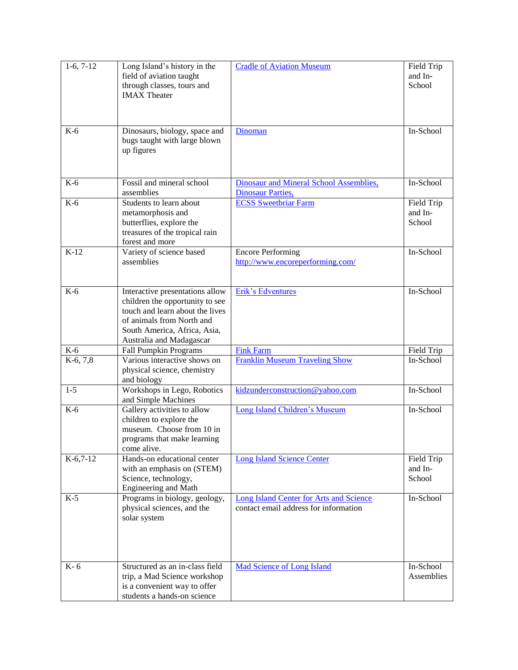| $1-6, 7-12$ | Long Island's history in the<br>field of aviation taught<br>through classes, tours and<br><b>IMAX</b> Theater                                                                                  | <b>Cradle of Aviation Museum</b>                                                        | Field Trip<br>and In-<br>School |
|-------------|------------------------------------------------------------------------------------------------------------------------------------------------------------------------------------------------|-----------------------------------------------------------------------------------------|---------------------------------|
| $K-6$       | Dinosaurs, biology, space and<br>bugs taught with large blown<br>up figures                                                                                                                    | Dinoman                                                                                 | In-School                       |
| $K-6$       | Fossil and mineral school<br>assemblies                                                                                                                                                        | Dinosaur and Mineral School Assemblies,<br><b>Dinosaur Parties</b>                      | In-School                       |
| $K-6$       | Students to learn about<br>metamorphosis and<br>butterflies, explore the<br>treasures of the tropical rain<br>forest and more                                                                  | <b>ECSS Sweetbriar Farm</b>                                                             | Field Trip<br>and In-<br>School |
| $K-12$      | Variety of science based<br>assemblies                                                                                                                                                         | <b>Encore Performing</b><br>http://www.encoreperforming.com/                            | In-School                       |
| $K-6$       | Interactive presentations allow<br>children the opportunity to see<br>touch and learn about the lives<br>of animals from North and<br>South America, Africa, Asia,<br>Australia and Madagascar | Erik's Edventures                                                                       | In-School                       |
| $K-6$       | <b>Fall Pumpkin Programs</b>                                                                                                                                                                   | <b>Fink Farm</b>                                                                        | Field Trip                      |
| $K-6, 7, 8$ | Various interactive shows on<br>physical science, chemistry<br>and biology                                                                                                                     | <b>Franklin Museum Traveling Show</b>                                                   | In-School                       |
| $1-5$       | Workshops in Lego, Robotics<br>and Simple Machines                                                                                                                                             | kidzunderconstruction@yahoo.com                                                         | In-School                       |
| $K-6$       | Gallery activities to allow<br>children to explore the<br>museum. Choose from 10 in<br>programs that make learning<br>come alive.                                                              | Long Island Children's Museum                                                           | In-School                       |
| $K-6,7-12$  | Hands-on educational center<br>with an emphasis on (STEM)<br>Science, technology,<br>Engineering and Math                                                                                      | <b>Long Island Science Center</b>                                                       | Field Trip<br>and In-<br>School |
| $K-5$       | Programs in biology, geology,<br>physical sciences, and the<br>solar system                                                                                                                    | <b>Long Island Center for Arts and Science</b><br>contact email address for information | In-School                       |
| K-6         | Structured as an in-class field<br>trip, a Mad Science workshop<br>is a convenient way to offer<br>students a hands-on science                                                                 | <b>Mad Science of Long Island</b>                                                       | In-School<br>Assemblies         |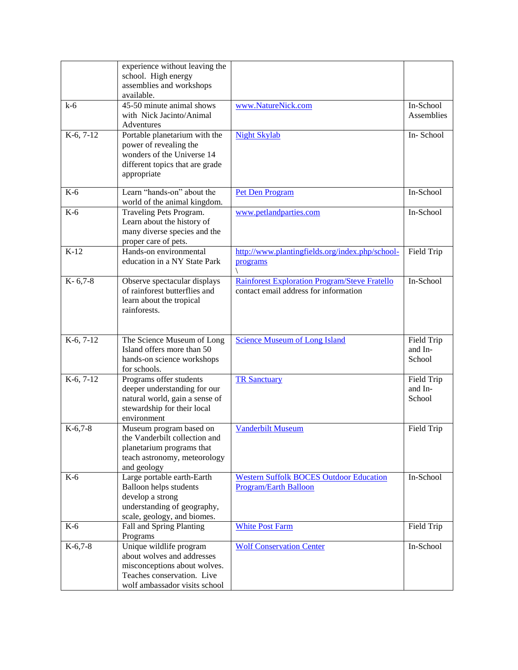|                      | experience without leaving the<br>school. High energy<br>assemblies and workshops<br>available.                                                      |                                                                                        |                                 |
|----------------------|------------------------------------------------------------------------------------------------------------------------------------------------------|----------------------------------------------------------------------------------------|---------------------------------|
| $k-6$                | 45-50 minute animal shows<br>with Nick Jacinto/Animal<br>Adventures                                                                                  | www.NatureNick.com                                                                     | In-School<br>Assemblies         |
| $K-6, 7-12$          | Portable planetarium with the<br>power of revealing the<br>wonders of the Universe 14<br>different topics that are grade<br>appropriate              | <b>Night Skylab</b>                                                                    | In-School                       |
| $K-6$                | Learn "hands-on" about the<br>world of the animal kingdom.                                                                                           | <b>Pet Den Program</b>                                                                 | In-School                       |
| $K-6$                | Traveling Pets Program.<br>Learn about the history of<br>many diverse species and the<br>proper care of pets.                                        | www.petlandparties.com                                                                 | In-School                       |
| $K-12$               | Hands-on environmental<br>education in a NY State Park                                                                                               | http://www.plantingfields.org/index.php/school-<br>programs                            | Field Trip                      |
| $K-6,7-8$            | Observe spectacular displays<br>of rainforest butterflies and<br>learn about the tropical<br>rainforests.                                            | Rainforest Exploration Program/Steve Fratello<br>contact email address for information | In-School                       |
| $K-6, 7-12$          | The Science Museum of Long<br>Island offers more than 50<br>hands-on science workshops<br>for schools.                                               | <b>Science Museum of Long Island</b>                                                   | Field Trip<br>and In-<br>School |
| $K-6, 7-12$          | Programs offer students<br>deeper understanding for our<br>natural world, gain a sense of<br>stewardship for their local<br>environment              | <b>TR Sanctuary</b>                                                                    | Field Trip<br>and In-<br>School |
| $K-6,7-\overline{8}$ | Museum program based on<br>the Vanderbilt collection and<br>planetarium programs that<br>teach astronomy, meteorology<br>and geology                 | <b>Vanderbilt Museum</b>                                                               | Field Trip                      |
| $K-6$                | Large portable earth-Earth<br>Balloon helps students<br>develop a strong<br>understanding of geography,<br>scale, geology, and biomes.               | <b>Western Suffolk BOCES Outdoor Education</b><br><b>Program/Earth Balloon</b>         | In-School                       |
| $K-6$                | Fall and Spring Planting<br>Programs                                                                                                                 | <b>White Post Farm</b>                                                                 | Field Trip                      |
| $K-6,7-8$            | Unique wildlife program<br>about wolves and addresses<br>misconceptions about wolves.<br>Teaches conservation. Live<br>wolf ambassador visits school | <b>Wolf Conservation Center</b>                                                        | In-School                       |